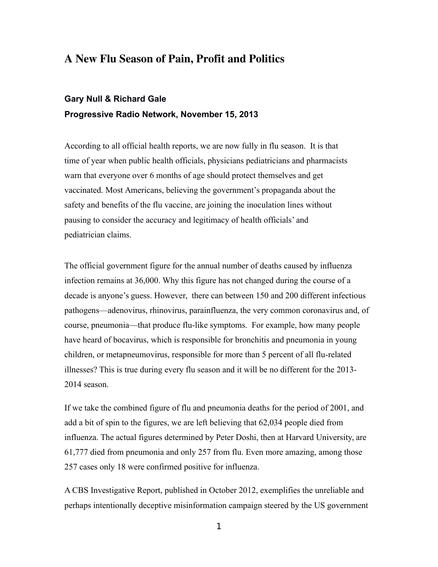# A New Flu Season of Pain, Profit and Politics

# **Gary Null & Richard Gale Progressive Radio Network, November 15, 2013**

According to all official health reports, we are now fully in flu season. It is that time of year when public health officials, physicians pediatricians and pharmacists warn that everyone over 6 months of age should protect themselves and get vaccinated. Most Americans, believing the government's propaganda about the safety and benefits of the flu vaccine, are joining the inoculation lines without pausing to consider the accuracy and legitimacy of health officials' and pediatrician claims.

The official government figure for the annual number of deaths caused by influenza infection remains at 36,000. Why this figure has not changed during the course of a decade is anyone's guess. However, there can between 150 and 200 different infectious pathogens—adenovirus, rhinovirus, parainfluenza, the very common coronavirus and, of course, pneumonia—that produce flu-like symptoms. For example, how many people have heard of bocavirus, which is responsible for bronchitis and pneumonia in young children, or metapneumovirus, responsible for more than 5 percent of all flu-related illnesses? This is true during every flu season and it will be no different for the 2013- 2014 season.

If we take the combined figure of flu and pneumonia deaths for the period of 2001, and add a bit of spin to the figures, we are left believing that 62,034 people died from influenza. The actual figures determined by Peter Doshi, then at Harvard University, are 61,777 died from pneumonia and only 257 from flu. Even more amazing, among those 257 cases only 18 were confirmed positive for influenza.

A CBS Investigative Report, published in October 2012, exemplifies the unreliable and perhaps intentionally deceptive misinformation campaign steered by the US government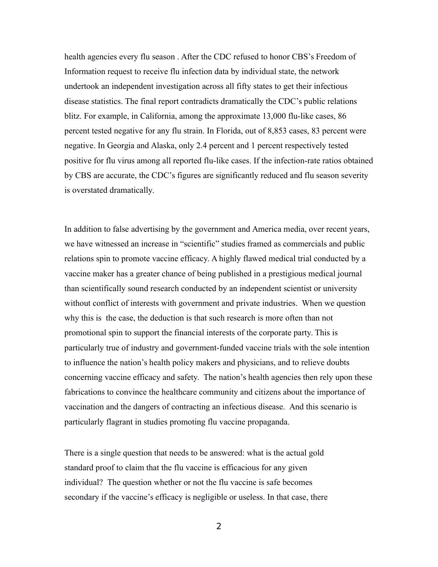health agencies every flu season . After the CDC refused to honor CBS's Freedom of Information request to receive flu infection data by individual state, the network undertook an independent investigation across all fifty states to get their infectious disease statistics. The final report contradicts dramatically the CDC's public relations blitz. For example, in California, among the approximate 13,000 flu-like cases, 86 percent tested negative for any flu strain. In Florida, out of 8,853 cases, 83 percent were negative. In Georgia and Alaska, only 2.4 percent and 1 percent respectively tested positive for flu virus among all reported flu-like cases. If the infection-rate ratios obtained by CBS are accurate, the CDC's figures are significantly reduced and flu season severity is overstated dramatically.

In addition to false advertising by the government and America media, over recent years, we have witnessed an increase in "scientific" studies framed as commercials and public relations spin to promote vaccine efficacy. A highly flawed medical trial conducted by a vaccine maker has a greater chance of being published in a prestigious medical journal than scientifically sound research conducted by an independent scientist or university without conflict of interests with government and private industries. When we question why this is the case, the deduction is that such research is more often than not promotional spin to support the financial interests of the corporate party. This is particularly true of industry and government-funded vaccine trials with the sole intention to influence the nation's health policy makers and physicians, and to relieve doubts concerning vaccine efficacy and safety. The nation's health agencies then rely upon these fabrications to convince the healthcare community and citizens about the importance of vaccination and the dangers of contracting an infectious disease. And this scenario is particularly flagrant in studies promoting flu vaccine propaganda.

There is a single question that needs to be answered: what is the actual gold standard proof to claim that the flu vaccine is efficacious for any given individual? The question whether or not the flu vaccine is safe becomes secondary if the vaccine's efficacy is negligible or useless. In that case, there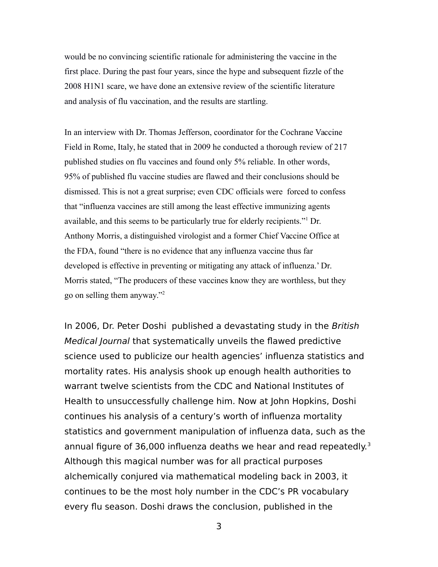would be no convincing scientific rationale for administering the vaccine in the first place. During the past four years, since the hype and subsequent fizzle of the 2008 H1N1 scare, we have done an extensive review of the scientific literature and analysis of flu vaccination, and the results are startling.

In an interview with Dr. Thomas Jefferson, coordinator for the Cochrane Vaccine Field in Rome, Italy, he stated that in 2009 he conducted a thorough review of 217 published studies on flu vaccines and found only 5% reliable. In other words, 95% of published flu vaccine studies are flawed and their conclusions should be dismissed. This is not a great surprise; even CDC officials were forced to confess that "influenza vaccines are still among the least effective immunizing agents available, and this seems to be particularly true for elderly recipients."<sup>1</sup> Dr. Anthony Morris, a distinguished virologist and a former Chief Vaccine Office at the FDA, found "there is no evidence that any influenza vaccine thus far developed is effective in preventing or mitigating any attack of influenza.' Dr. Morris stated, "The producers of these vaccines know they are worthless, but they go on selling them anyway."<sup>2</sup>

In 2006, Dr. Peter Doshi published a devastating study in the British Medical Journal that systematically unveils the flawed predictive science used to publicize our health agencies' influenza statistics and mortality rates. His analysis shook up enough health authorities to warrant twelve scientists from the CDC and National Institutes of Health to unsuccessfully challenge him. Now at John Hopkins, Doshi continues his analysis of a century's worth of influenza mortality statistics and government manipulation of influenza data, such as the annual figure of 36,000 influenza deaths we hear and read repeatedly.<sup>3</sup> Although this magical number was for all practical purposes alchemically conjured via mathematical modeling back in 2003, it continues to be the most holy number in the CDC's PR vocabulary every flu season. Doshi draws the conclusion, published in the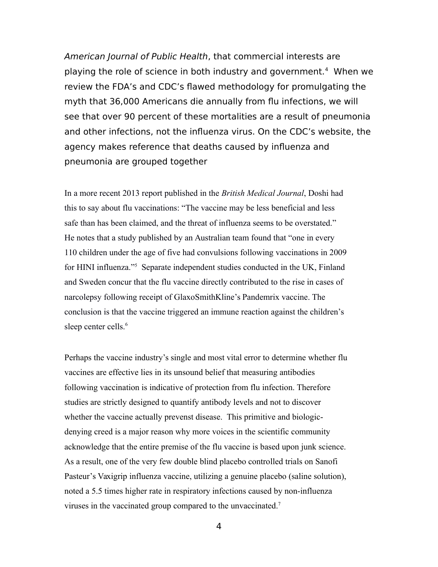American Journal of Public Health, that commercial interests are playing the role of science in both industry and government.<sup>4</sup> When we review the FDA's and CDC's flawed methodology for promulgating the myth that 36,000 Americans die annually from flu infections, we will see that over 90 percent of these mortalities are a result of pneumonia and other infections, not the influenza virus. On the CDC's website, the agency makes reference that deaths caused by influenza and pneumonia are grouped together

In a more recent 2013 report published in the *British Medical Journal*, Doshi had this to say about flu vaccinations: "The vaccine may be less beneficial and less safe than has been claimed, and the threat of influenza seems to be overstated." He notes that a study published by an Australian team found that "one in every 110 children under the age of five had convulsions following vaccinations in 2009 for HINI influenza."<sup>5</sup> Separate independent studies conducted in the UK, Finland and Sweden concur that the flu vaccine directly contributed to the rise in cases of narcolepsy following receipt of GlaxoSmithKline's Pandemrix vaccine. The conclusion is that the vaccine triggered an immune reaction against the children's sleep center cells.<sup>6</sup>

Perhaps the vaccine industry's single and most vital error to determine whether flu vaccines are effective lies in its unsound belief that measuring antibodies following vaccination is indicative of protection from flu infection. Therefore studies are strictly designed to quantify antibody levels and not to discover whether the vaccine actually prevenst disease. This primitive and biologicdenying creed is a major reason why more voices in the scientific community acknowledge that the entire premise of the flu vaccine is based upon junk science. As a result, one of the very few double blind placebo controlled trials on Sanofi Pasteur's Vaxigrip influenza vaccine, utilizing a genuine placebo (saline solution), noted a 5.5 times higher rate in respiratory infections caused by non-influenza viruses in the vaccinated group compared to the unvaccinated.<sup>7</sup>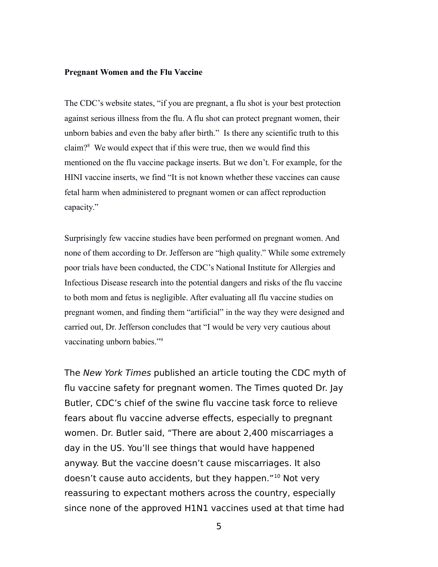#### **Pregnant Women and the Flu Vaccine**

The CDC's website states, "if you are pregnant, a flu shot is your best protection against serious illness from the flu. A flu shot can protect pregnant women, their unborn babies and even the baby after birth." Is there any scientific truth to this claim?<sup>8</sup> We would expect that if this were true, then we would find this mentioned on the flu vaccine package inserts. But we don't. For example, for the HINI vaccine inserts, we find "It is not known whether these vaccines can cause fetal harm when administered to pregnant women or can affect reproduction capacity."

Surprisingly few vaccine studies have been performed on pregnant women. And none of them according to Dr. Jefferson are "high quality." While some extremely poor trials have been conducted, the CDC's National Institute for Allergies and Infectious Disease research into the potential dangers and risks of the flu vaccine to both mom and fetus is negligible. After evaluating all flu vaccine studies on pregnant women, and finding them "artificial" in the way they were designed and carried out, Dr. Jefferson concludes that "I would be very very cautious about vaccinating unborn babies."<sup>9</sup>

The New York Times published an article touting the CDC myth of flu vaccine safety for pregnant women. The Times quoted Dr. Jay Butler, CDC's chief of the swine flu vaccine task force to relieve fears about flu vaccine adverse effects, especially to pregnant women. Dr. Butler said, "There are about 2,400 miscarriages a day in the US. You'll see things that would have happened anyway. But the vaccine doesn't cause miscarriages. It also doesn't cause auto accidents, but they happen."<sup>10</sup> Not very reassuring to expectant mothers across the country, especially since none of the approved H1N1 vaccines used at that time had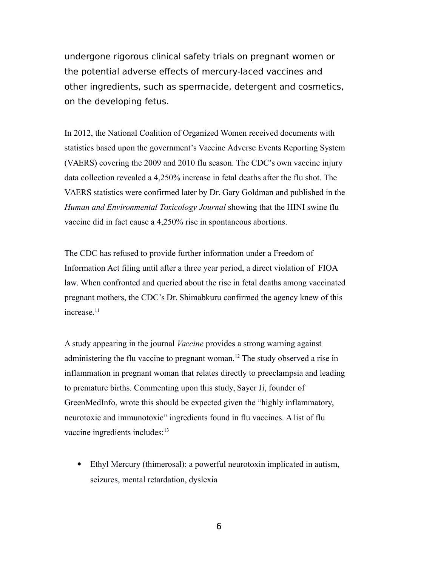undergone rigorous clinical safety trials on pregnant women or the potential adverse effects of mercury-laced vaccines and other ingredients, such as spermacide, detergent and cosmetics, on the developing fetus.

In 2012, the National Coalition of Organized Women received documents with statistics based upon the government's Vaccine Adverse Events Reporting System (VAERS) covering the 2009 and 2010 flu season. The CDC's own vaccine injury data collection revealed a 4,250% increase in fetal deaths after the flu shot. The VAERS statistics were confirmed later by Dr. Gary Goldman and published in the *Human and Environmental Toxicology Journal* showing that the HINI swine flu vaccine did in fact cause a 4,250% rise in spontaneous abortions.

The CDC has refused to provide further information under a Freedom of Information Act filing until after a three year period, a direct violation of FIOA law. When confronted and queried about the rise in fetal deaths among vaccinated pregnant mothers, the CDC's Dr. Shimabkuru confirmed the agency knew of this increase $11$ 

A study appearing in the journal *Vaccine* provides a strong warning against administering the flu vaccine to pregnant woman.<sup>12</sup> The study observed a rise in inflammation in pregnant woman that relates directly to preeclampsia and leading to premature births. Commenting upon this study, Sayer Ji, founder of GreenMedInfo, wrote this should be expected given the "highly inflammatory, neurotoxic and immunotoxic" ingredients found in flu vaccines. A list of flu vaccine ingredients includes:<sup>13</sup>

 Ethyl Mercury (thimerosal): a powerful neurotoxin implicated in autism, seizures, mental retardation, dyslexia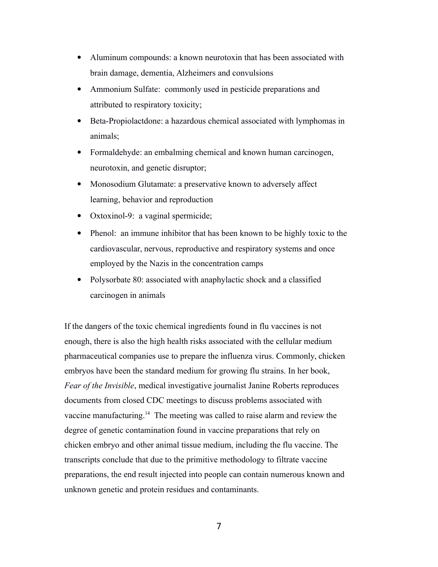- Aluminum compounds: a known neurotoxin that has been associated with brain damage, dementia, Alzheimers and convulsions
- Ammonium Sulfate: commonly used in pesticide preparations and attributed to respiratory toxicity;
- Beta-Propiolactdone: a hazardous chemical associated with lymphomas in animals;
- Formaldehyde: an embalming chemical and known human carcinogen, neurotoxin, and genetic disruptor;
- Monosodium Glutamate: a preservative known to adversely affect learning, behavior and reproduction
- Oxtoxinol-9: a vaginal spermicide;
- Phenol: an immune inhibitor that has been known to be highly toxic to the cardiovascular, nervous, reproductive and respiratory systems and once employed by the Nazis in the concentration camps
- Polysorbate 80: associated with anaphylactic shock and a classified carcinogen in animals

If the dangers of the toxic chemical ingredients found in flu vaccines is not enough, there is also the high health risks associated with the cellular medium pharmaceutical companies use to prepare the influenza virus. Commonly, chicken embryos have been the standard medium for growing flu strains. In her book, *Fear of the Invisible*, medical investigative journalist Janine Roberts reproduces documents from closed CDC meetings to discuss problems associated with vaccine manufacturing.<sup>14</sup> The meeting was called to raise alarm and review the degree of genetic contamination found in vaccine preparations that rely on chicken embryo and other animal tissue medium, including the flu vaccine. The transcripts conclude that due to the primitive methodology to filtrate vaccine preparations, the end result injected into people can contain numerous known and unknown genetic and protein residues and contaminants.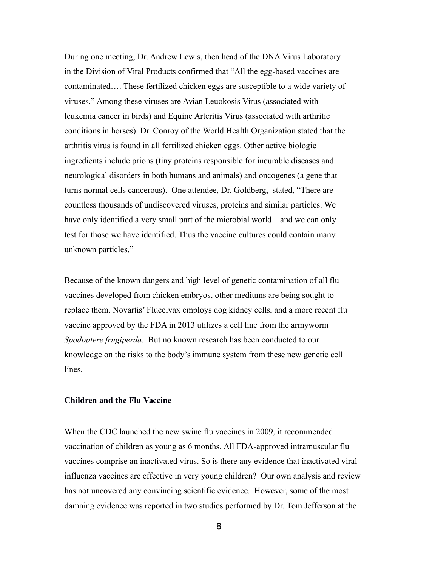During one meeting, Dr. Andrew Lewis, then head of the DNA Virus Laboratory in the Division of Viral Products confirmed that "All the egg-based vaccines are contaminated…. These fertilized chicken eggs are susceptible to a wide variety of viruses." Among these viruses are Avian Leuokosis Virus (associated with leukemia cancer in birds) and Equine Arteritis Virus (associated with arthritic conditions in horses). Dr. Conroy of the World Health Organization stated that the arthritis virus is found in all fertilized chicken eggs. Other active biologic ingredients include prions (tiny proteins responsible for incurable diseases and neurological disorders in both humans and animals) and oncogenes (a gene that turns normal cells cancerous). One attendee, Dr. Goldberg, stated, "There are countless thousands of undiscovered viruses, proteins and similar particles. We have only identified a very small part of the microbial world—and we can only test for those we have identified. Thus the vaccine cultures could contain many unknown particles."

Because of the known dangers and high level of genetic contamination of all flu vaccines developed from chicken embryos, other mediums are being sought to replace them. Novartis' Flucelvax employs dog kidney cells, and a more recent flu vaccine approved by the FDA in 2013 utilizes a cell line from the armyworm *Spodoptere frugiperda*. But no known research has been conducted to our knowledge on the risks to the body's immune system from these new genetic cell lines.

#### **Children and the Flu Vaccine**

When the CDC launched the new swine flu vaccines in 2009, it recommended vaccination of children as young as 6 months. All FDA-approved intramuscular flu vaccines comprise an inactivated virus. So is there any evidence that inactivated viral influenza vaccines are effective in very young children? Our own analysis and review has not uncovered any convincing scientific evidence. However, some of the most damning evidence was reported in two studies performed by Dr. Tom Jefferson at the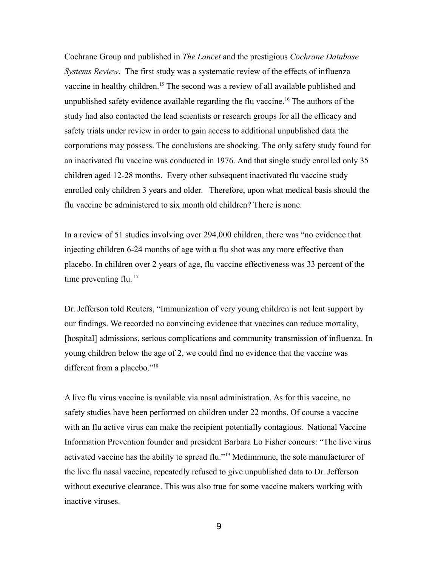Cochrane Group and published in *The Lancet* and the prestigious *Cochrane Database Systems Review*. The first study was a systematic review of the effects of influenza vaccine in healthy children.<sup>15</sup> The second was a review of all available published and unpublished safety evidence available regarding the flu vaccine.<sup>16</sup> The authors of the study had also contacted the lead scientists or research groups for all the efficacy and safety trials under review in order to gain access to additional unpublished data the corporations may possess. The conclusions are shocking. The only safety study found for an inactivated flu vaccine was conducted in 1976. And that single study enrolled only 35 children aged 12-28 months. Every other subsequent inactivated flu vaccine study enrolled only children 3 years and older. Therefore, upon what medical basis should the flu vaccine be administered to six month old children? There is none.

In a review of 51 studies involving over 294,000 children, there was "no evidence that injecting children 6-24 months of age with a flu shot was any more effective than placebo. In children over 2 years of age, flu vaccine effectiveness was 33 percent of the time preventing flu.  $17$ 

Dr. Jefferson told Reuters, "Immunization of very young children is not lent support by our findings. We recorded no convincing evidence that vaccines can reduce mortality, [hospital] admissions, serious complications and community transmission of influenza. In young children below the age of 2, we could find no evidence that the vaccine was different from a placebo."<sup>18</sup>

A live flu virus vaccine is available via nasal administration. As for this vaccine, no safety studies have been performed on children under 22 months. Of course a vaccine with an flu active virus can make the recipient potentially contagious. National Vaccine Information Prevention founder and president Barbara Lo Fisher concurs: "The live virus activated vaccine has the ability to spread flu."<sup>19</sup> Medimmune, the sole manufacturer of the live flu nasal vaccine, repeatedly refused to give unpublished data to Dr. Jefferson without executive clearance. This was also true for some vaccine makers working with inactive viruses.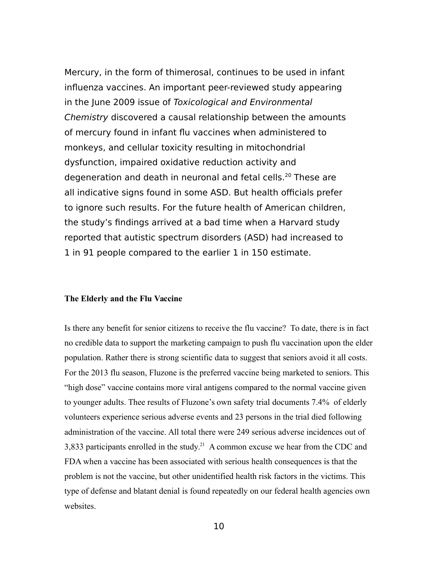Mercury, in the form of thimerosal, continues to be used in infant influenza vaccines. An important peer-reviewed study appearing in the June 2009 issue of Toxicological and Environmental Chemistry discovered a causal relationship between the amounts of mercury found in infant flu vaccines when administered to monkeys, and cellular toxicity resulting in mitochondrial dysfunction, impaired oxidative reduction activity and degeneration and death in neuronal and fetal cells.<sup>20</sup> These are all indicative signs found in some ASD. But health officials prefer to ignore such results. For the future health of American children, the study's findings arrived at a bad time when a Harvard study reported that autistic spectrum disorders (ASD) had increased to 1 in 91 people compared to the earlier 1 in 150 estimate.

#### **The Elderly and the Flu Vaccine**

Is there any benefit for senior citizens to receive the flu vaccine? To date, there is in fact no credible data to support the marketing campaign to push flu vaccination upon the elder population. Rather there is strong scientific data to suggest that seniors avoid it all costs. For the 2013 flu season, Fluzone is the preferred vaccine being marketed to seniors. This "high dose" vaccine contains more viral antigens compared to the normal vaccine given to younger adults. Thee results of Fluzone's own safety trial documents 7.4% of elderly volunteers experience serious adverse events and 23 persons in the trial died following administration of the vaccine. All total there were 249 serious adverse incidences out of 3,833 participants enrolled in the study.<sup>21</sup> A common excuse we hear from the CDC and FDA when a vaccine has been associated with serious health consequences is that the problem is not the vaccine, but other unidentified health risk factors in the victims. This type of defense and blatant denial is found repeatedly on our federal health agencies own websites.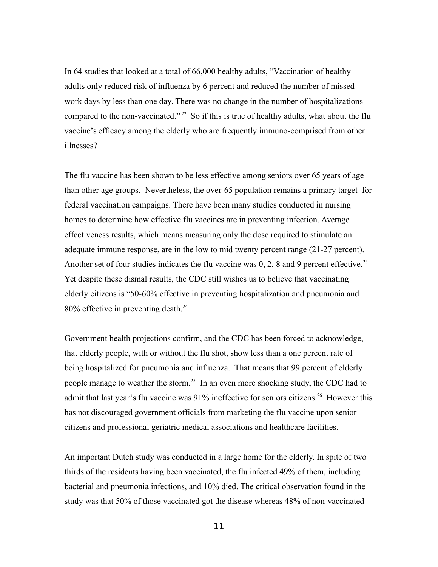In 64 studies that looked at a total of 66,000 healthy adults, "Vaccination of healthy adults only reduced risk of influenza by 6 percent and reduced the number of missed work days by less than one day. There was no change in the number of hospitalizations compared to the non-vaccinated."<sup>22</sup> So if this is true of healthy adults, what about the flu vaccine's efficacy among the elderly who are frequently immuno-comprised from other illnesses?

The flu vaccine has been shown to be less effective among seniors over 65 years of age than other age groups. Nevertheless, the over-65 population remains a primary target for federal vaccination campaigns. There have been many studies conducted in nursing homes to determine how effective flu vaccines are in preventing infection. Average effectiveness results, which means measuring only the dose required to stimulate an adequate immune response, are in the low to mid twenty percent range (21-27 percent). Another set of four studies indicates the flu vaccine was  $0, 2, 8$  and 9 percent effective.<sup>23</sup> Yet despite these dismal results, the CDC still wishes us to believe that vaccinating elderly citizens is "50-60% effective in preventing hospitalization and pneumonia and 80% effective in preventing death.<sup>24</sup>

Government health projections confirm, and the CDC has been forced to acknowledge, that elderly people, with or without the flu shot, show less than a one percent rate of being hospitalized for pneumonia and influenza. That means that 99 percent of elderly people manage to weather the storm.<sup>25</sup> In an even more shocking study, the CDC had to admit that last year's flu vaccine was 91% ineffective for seniors citizens.<sup>26</sup> However this has not discouraged government officials from marketing the flu vaccine upon senior citizens and professional geriatric medical associations and healthcare facilities.

An important Dutch study was conducted in a large home for the elderly. In spite of two thirds of the residents having been vaccinated, the flu infected 49% of them, including bacterial and pneumonia infections, and 10% died. The critical observation found in the study was that 50% of those vaccinated got the disease whereas 48% of non-vaccinated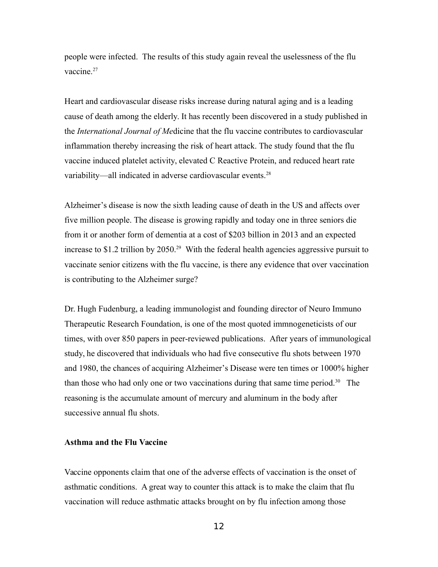people were infected. The results of this study again reveal the uselessness of the flu vaccine.<sup>27</sup>

Heart and cardiovascular disease risks increase during natural aging and is a leading cause of death among the elderly. It has recently been discovered in a study published in the *International Journal of Me*dicine that the flu vaccine contributes to cardiovascular inflammation thereby increasing the risk of heart attack. The study found that the flu vaccine induced platelet activity, elevated C Reactive Protein, and reduced heart rate variability—all indicated in adverse cardiovascular events.<sup>28</sup>

Alzheimer's disease is now the sixth leading cause of death in the US and affects over five million people. The disease is growing rapidly and today one in three seniors die from it or another form of dementia at a cost of \$203 billion in 2013 and an expected increase to \$1.2 trillion by 2050.<sup>29</sup> With the federal health agencies aggressive pursuit to vaccinate senior citizens with the flu vaccine, is there any evidence that over vaccination is contributing to the Alzheimer surge?

Dr. Hugh Fudenburg, a leading immunologist and founding director of Neuro Immuno Therapeutic Research Foundation, is one of the most quoted immnogeneticists of our times, with over 850 papers in peer-reviewed publications. After years of immunological study, he discovered that individuals who had five consecutive flu shots between 1970 and 1980, the chances of acquiring Alzheimer's Disease were ten times or 1000% higher than those who had only one or two vaccinations during that same time period.<sup>30</sup> The reasoning is the accumulate amount of mercury and aluminum in the body after successive annual flu shots.

## **Asthma and the Flu Vaccine**

Vaccine opponents claim that one of the adverse effects of vaccination is the onset of asthmatic conditions. A great way to counter this attack is to make the claim that flu vaccination will reduce asthmatic attacks brought on by flu infection among those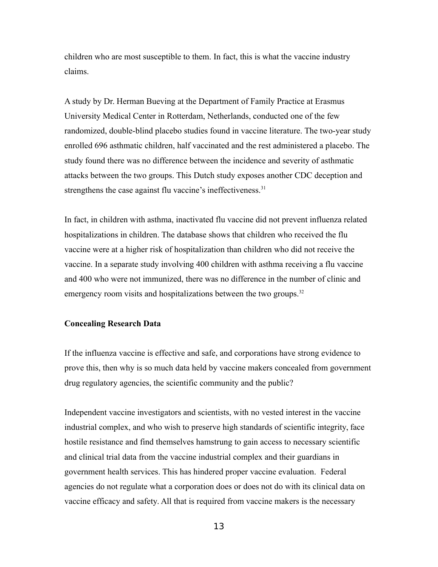children who are most susceptible to them. In fact, this is what the vaccine industry claims.

A study by Dr. Herman Bueving at the Department of Family Practice at Erasmus University Medical Center in Rotterdam, Netherlands, conducted one of the few randomized, double-blind placebo studies found in vaccine literature. The two-year study enrolled 696 asthmatic children, half vaccinated and the rest administered a placebo. The study found there was no difference between the incidence and severity of asthmatic attacks between the two groups. This Dutch study exposes another CDC deception and strengthens the case against flu vaccine's ineffectiveness.<sup>31</sup>

In fact, in children with asthma, inactivated flu vaccine did not prevent influenza related hospitalizations in children. The database shows that children who received the flu vaccine were at a higher risk of hospitalization than children who did not receive the vaccine. In a separate study involving 400 children with asthma receiving a flu vaccine and 400 who were not immunized, there was no difference in the number of clinic and emergency room visits and hospitalizations between the two groups.<sup>32</sup>

#### **Concealing Research Data**

If the influenza vaccine is effective and safe, and corporations have strong evidence to prove this, then why is so much data held by vaccine makers concealed from government drug regulatory agencies, the scientific community and the public?

Independent vaccine investigators and scientists, with no vested interest in the vaccine industrial complex, and who wish to preserve high standards of scientific integrity, face hostile resistance and find themselves hamstrung to gain access to necessary scientific and clinical trial data from the vaccine industrial complex and their guardians in government health services. This has hindered proper vaccine evaluation. Federal agencies do not regulate what a corporation does or does not do with its clinical data on vaccine efficacy and safety. All that is required from vaccine makers is the necessary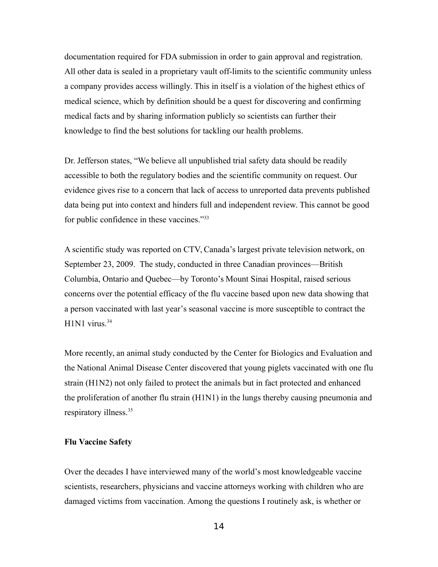documentation required for FDA submission in order to gain approval and registration. All other data is sealed in a proprietary vault off-limits to the scientific community unless a company provides access willingly. This in itself is a violation of the highest ethics of medical science, which by definition should be a quest for discovering and confirming medical facts and by sharing information publicly so scientists can further their knowledge to find the best solutions for tackling our health problems.

Dr. Jefferson states, "We believe all unpublished trial safety data should be readily accessible to both the regulatory bodies and the scientific community on request. Our evidence gives rise to a concern that lack of access to unreported data prevents published data being put into context and hinders full and independent review. This cannot be good for public confidence in these vaccines."<sup>33</sup>

A scientific study was reported on CTV, Canada's largest private television network, on September 23, 2009. The study, conducted in three Canadian provinces—British Columbia, Ontario and Quebec—by Toronto's Mount Sinai Hospital, raised serious concerns over the potential efficacy of the flu vaccine based upon new data showing that a person vaccinated with last year's seasonal vaccine is more susceptible to contract the  $H1N1$  virus.<sup>34</sup>

More recently, an animal study conducted by the Center for Biologics and Evaluation and the National Animal Disease Center discovered that young piglets vaccinated with one flu strain (H1N2) not only failed to protect the animals but in fact protected and enhanced the proliferation of another flu strain (H1N1) in the lungs thereby causing pneumonia and respiratory illness.<sup>35</sup>

#### **Flu Vaccine Safety**

Over the decades I have interviewed many of the world's most knowledgeable vaccine scientists, researchers, physicians and vaccine attorneys working with children who are damaged victims from vaccination. Among the questions I routinely ask, is whether or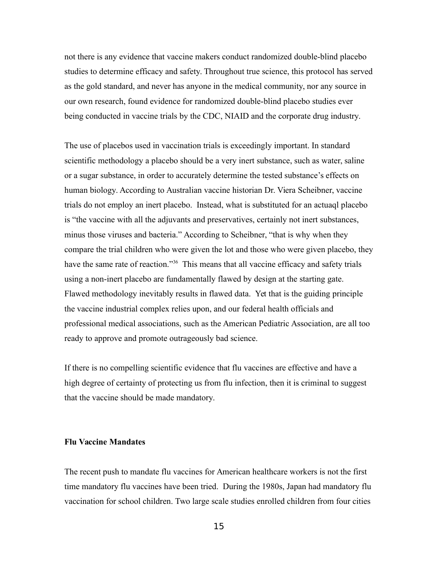not there is any evidence that vaccine makers conduct randomized double-blind placebo studies to determine efficacy and safety. Throughout true science, this protocol has served as the gold standard, and never has anyone in the medical community, nor any source in our own research, found evidence for randomized double-blind placebo studies ever being conducted in vaccine trials by the CDC, NIAID and the corporate drug industry.

The use of placebos used in vaccination trials is exceedingly important. In standard scientific methodology a placebo should be a very inert substance, such as water, saline or a sugar substance, in order to accurately determine the tested substance's effects on human biology. According to Australian vaccine historian Dr. Viera Scheibner, vaccine trials do not employ an inert placebo. Instead, what is substituted for an actuaql placebo is "the vaccine with all the adjuvants and preservatives, certainly not inert substances, minus those viruses and bacteria." According to Scheibner, "that is why when they compare the trial children who were given the lot and those who were given placebo, they have the same rate of reaction."<sup>36</sup> This means that all vaccine efficacy and safety trials using a non-inert placebo are fundamentally flawed by design at the starting gate. Flawed methodology inevitably results in flawed data. Yet that is the guiding principle the vaccine industrial complex relies upon, and our federal health officials and professional medical associations, such as the American Pediatric Association, are all too ready to approve and promote outrageously bad science.

If there is no compelling scientific evidence that flu vaccines are effective and have a high degree of certainty of protecting us from flu infection, then it is criminal to suggest that the vaccine should be made mandatory.

## **Flu Vaccine Mandates**

The recent push to mandate flu vaccines for American healthcare workers is not the first time mandatory flu vaccines have been tried. During the 1980s, Japan had mandatory flu vaccination for school children. Two large scale studies enrolled children from four cities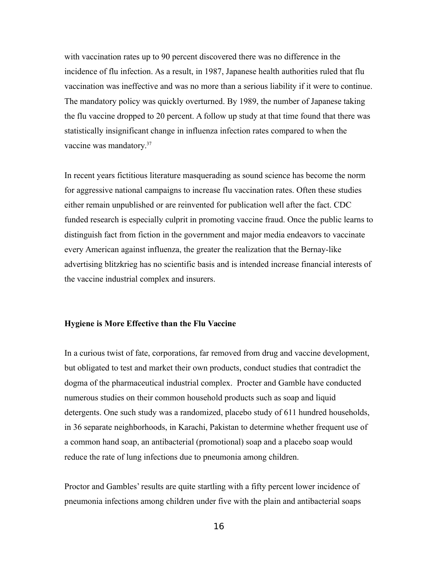with vaccination rates up to 90 percent discovered there was no difference in the incidence of flu infection. As a result, in 1987, Japanese health authorities ruled that flu vaccination was ineffective and was no more than a serious liability if it were to continue. The mandatory policy was quickly overturned. By 1989, the number of Japanese taking the flu vaccine dropped to 20 percent. A follow up study at that time found that there was statistically insignificant change in influenza infection rates compared to when the vaccine was mandatory.<sup>37</sup>

In recent years fictitious literature masquerading as sound science has become the norm for aggressive national campaigns to increase flu vaccination rates. Often these studies either remain unpublished or are reinvented for publication well after the fact. CDC funded research is especially culprit in promoting vaccine fraud. Once the public learns to distinguish fact from fiction in the government and major media endeavors to vaccinate every American against influenza, the greater the realization that the Bernay-like advertising blitzkrieg has no scientific basis and is intended increase financial interests of the vaccine industrial complex and insurers.

#### **Hygiene is More Effective than the Flu Vaccine**

In a curious twist of fate, corporations, far removed from drug and vaccine development, but obligated to test and market their own products, conduct studies that contradict the dogma of the pharmaceutical industrial complex. Procter and Gamble have conducted numerous studies on their common household products such as soap and liquid detergents. One such study was a randomized, placebo study of 611 hundred households, in 36 separate neighborhoods, in Karachi, Pakistan to determine whether frequent use of a common hand soap, an antibacterial (promotional) soap and a placebo soap would reduce the rate of lung infections due to pneumonia among children.

Proctor and Gambles' results are quite startling with a fifty percent lower incidence of pneumonia infections among children under five with the plain and antibacterial soaps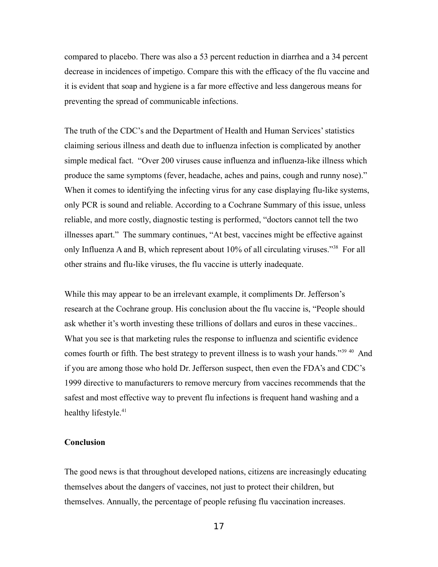compared to placebo. There was also a 53 percent reduction in diarrhea and a 34 percent decrease in incidences of impetigo. Compare this with the efficacy of the flu vaccine and it is evident that soap and hygiene is a far more effective and less dangerous means for preventing the spread of communicable infections.

The truth of the CDC's and the Department of Health and Human Services' statistics claiming serious illness and death due to influenza infection is complicated by another simple medical fact. "Over 200 viruses cause influenza and influenza-like illness which produce the same symptoms (fever, headache, aches and pains, cough and runny nose)." When it comes to identifying the infecting virus for any case displaying flu-like systems, only PCR is sound and reliable. According to a Cochrane Summary of this issue, unless reliable, and more costly, diagnostic testing is performed, "doctors cannot tell the two illnesses apart." The summary continues, "At best, vaccines might be effective against only Influenza A and B, which represent about 10% of all circulating viruses."<sup>38</sup> For all other strains and flu-like viruses, the flu vaccine is utterly inadequate.

While this may appear to be an irrelevant example, it compliments Dr. Jefferson's research at the Cochrane group. His conclusion about the flu vaccine is, "People should ask whether it's worth investing these trillions of dollars and euros in these vaccines.. What you see is that marketing rules the response to influenza and scientific evidence comes fourth or fifth. The best strategy to prevent illness is to wash your hands."<sup>39 40</sup> And if you are among those who hold Dr. Jefferson suspect, then even the FDA's and CDC's 1999 directive to manufacturers to remove mercury from vaccines recommends that the safest and most effective way to prevent flu infections is frequent hand washing and a healthy lifestyle.<sup>41</sup>

#### **Conclusion**

The good news is that throughout developed nations, citizens are increasingly educating themselves about the dangers of vaccines, not just to protect their children, but themselves. Annually, the percentage of people refusing flu vaccination increases.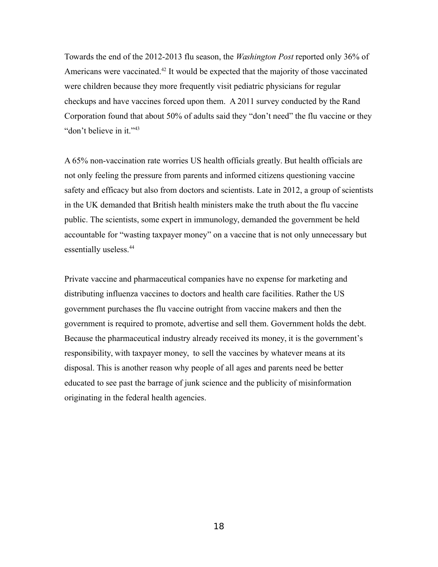Towards the end of the 2012-2013 flu season, the *Washington Post* reported only 36% of Americans were vaccinated.<sup>42</sup> It would be expected that the majority of those vaccinated were children because they more frequently visit pediatric physicians for regular checkups and have vaccines forced upon them. A 2011 survey conducted by the Rand Corporation found that about 50% of adults said they "don't need" the flu vaccine or they "don't believe in it."<sup>43</sup>

A 65% non-vaccination rate worries US health officials greatly. But health officials are not only feeling the pressure from parents and informed citizens questioning vaccine safety and efficacy but also from doctors and scientists. Late in 2012, a group of scientists in the UK demanded that British health ministers make the truth about the flu vaccine public. The scientists, some expert in immunology, demanded the government be held accountable for "wasting taxpayer money" on a vaccine that is not only unnecessary but essentially useless.<sup>44</sup>

Private vaccine and pharmaceutical companies have no expense for marketing and distributing influenza vaccines to doctors and health care facilities. Rather the US government purchases the flu vaccine outright from vaccine makers and then the government is required to promote, advertise and sell them. Government holds the debt. Because the pharmaceutical industry already received its money, it is the government's responsibility, with taxpayer money, to sell the vaccines by whatever means at its disposal. This is another reason why people of all ages and parents need be better educated to see past the barrage of junk science and the publicity of misinformation originating in the federal health agencies.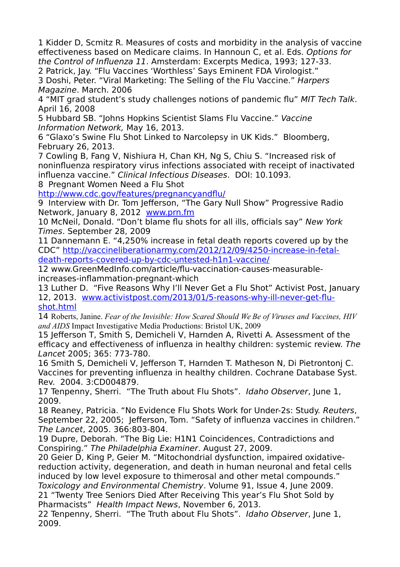1 Kidder D, Scmitz R. Measures of costs and morbidity in the analysis of vaccine effectiveness based on Medicare claims. In Hannoun C, et al. Eds. Options for the Control of Influenza 11. Amsterdam: Excerpts Medica, 1993; 127-33.

2 Patrick, Jay. "Flu Vaccines 'Worthless' Says Eminent FDA Virologist." 3 Doshi, Peter. "Viral Marketing: The Selling of the Flu Vaccine." Harpers Magazine. March. 2006

4 "MIT grad student's study challenges notions of pandemic flu" MIT Tech Talk. April 16, 2008

5 Hubbard SB. "Johns Hopkins Scientist Slams Flu Vaccine." Vaccine Information Network, May 16, 2013.

6 "Glaxo's Swine Flu Shot Linked to Narcolepsy in UK Kids." Bloomberg, February 26, 2013.

7 Cowling B, Fang V, Nishiura H, Chan KH, Ng S, Chiu S. "Increased risk of noninfluenza respiratory virus infections associated with receipt of inactivated influenza vaccine." Clinical Infectious Diseases. DOI: 10.1093.

8 Pregnant Women Need a Flu Shot

<http://www.cdc.gov/features/pregnancyandflu/>

9 Interview with Dr. Tom Jefferson, "The Gary Null Show" Progressive Radio Network, January 8, 2012 [www.prn.fm](http://www.prn.fm/)

10 McNeil, Donald. "Don't blame flu shots for all ills, officials say" New York Times. September 28, 2009

11 Dannemann E. "4,250% increase in fetal death reports covered up by the CDC" [http://vaccineliberationarmy.com/2012/12/09/4250-increase-in-fetal](http://vaccineliberationarmy.com/2012/12/09/4250-increase-in-fetal-death-reports-covered-up-by-cdc-untested-h1n1-vaccine/)[death-reports-covered-up-by-cdc-untested-h1n1-vaccine/](http://vaccineliberationarmy.com/2012/12/09/4250-increase-in-fetal-death-reports-covered-up-by-cdc-untested-h1n1-vaccine/)

12 www.GreenMedInfo.com/article/flu-vaccination-causes-measurableincreases-inflammation-pregnant-which

13 Luther D. "Five Reasons Why I'll Never Get a Flu Shot" Activist Post, January 12, 2013. [www.activistpost.com/2013/01/5-reasons-why-ill-never-get-flu](http://www.activistpost.com/2013/01/5-reasons-why-ill-never-get-flu-shot.html)[shot.html](http://www.activistpost.com/2013/01/5-reasons-why-ill-never-get-flu-shot.html)

14 Roberts, Janine. *Fear of the Invisible: How Scared Should We Be of Viruses and Vaccines, HIV and AIDS* Impact Investigative Media Productions: Bristol UK, 2009

15 Jefferson T, Smith S, Demicheli V, Harnden A, Rivetti A. Assessment of the efficacy and effectiveness of influenza in healthy children: systemic review. The Lancet 2005; 365: 773-780.

16 Smith S, Demicheli V, Jefferson T, Harnden T. Matheson N, Di Pietrontonj C. Vaccines for preventing influenza in healthy children. Cochrane Database Syst. Rev. 2004. 3:CD004879.

17 Tenpenny, Sherri. "The Truth about Flu Shots". Idaho Observer, June 1, 2009.

18 Reaney, Patricia. "No Evidence Flu Shots Work for Under-2s: Study. Reuters, September 22, 2005; Jefferson, Tom. "Safety of influenza vaccines in children." The Lancet, 2005. 366:803-804.

19 Dupre, Deborah. "The Big Lie: H1N1 Coincidences, Contradictions and Conspiring." The Philadelphia Examiner. August 27, 2009.

20 Geier D, King P, Geier M. "Mitochondrial dysfunction, impaired oxidativereduction activity, degeneration, and death in human neuronal and fetal cells induced by low level exposure to thimerosal and other metal compounds." Toxicology and Environmental Chemistry. Volume 91, Issue 4, June 2009.

21 "Twenty Tree Seniors Died After Receiving This year's Flu Shot Sold by Pharmacists" Health Impact News, November 6, 2013.

22 Tenpenny, Sherri. "The Truth about Flu Shots". Idaho Observer, June 1, 2009.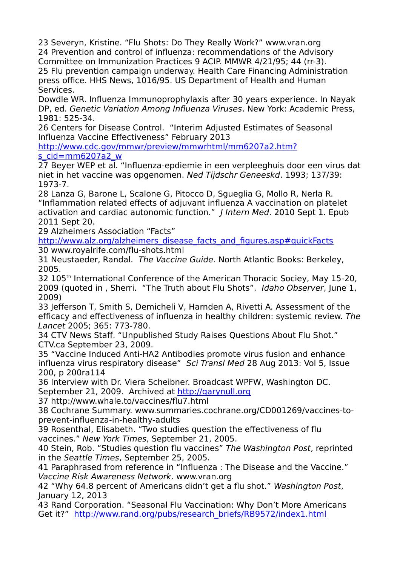23 Severyn, Kristine. "Flu Shots: Do They Really Work?" www.vran.org 24 Prevention and control of influenza: recommendations of the Advisory Committee on Immunization Practices 9 ACIP. MMWR 4/21/95; 44 (rr-3). 25 Flu prevention campaign underway. Health Care Financing Administration press office. HHS News, 1016/95. US Department of Health and Human Services.

Dowdle WR. Influenza Immunoprophylaxis after 30 years experience. In Nayak DP, ed. Genetic Variation Among Influenza Viruses. New York: Academic Press, 1981: 525-34.

26 Centers for Disease Control. "Interim Adjusted Estimates of Seasonal Influenza Vaccine Effectiveness" February 2013

[http://www.cdc.gov/mmwr/preview/mmwrhtml/mm6207a2.htm?](http://www.cdc.gov/mmwr/preview/mmwrhtml/mm6207a2.htm?s_cid=mm6207a2_w) [s\\_cid=mm6207a2\\_w](http://www.cdc.gov/mmwr/preview/mmwrhtml/mm6207a2.htm?s_cid=mm6207a2_w)

27 Beyer WEP et al. "Influenza-epdiemie in een verpleeghuis door een virus dat niet in het vaccine was opgenomen. Ned Tijdschr Geneeskd. 1993; 137/39: 1973-7.

28 Lanza G, Barone L, Scalone G, Pitocco D, Sgueglia G, Mollo R, Nerla R. "Inflammation related effects of adjuvant influenza A vaccination on platelet activation and cardiac autonomic function." | Intern Med. 2010 Sept 1. Epub 2011 Sept 20.

29 Alzheimers Association "Facts"

[http://www.alz.org/alzheimers\\_disease\\_facts\\_and\\_figures.asp#quickFacts](http://www.alz.org/alzheimers_disease_facts_and_figures.asp#quickFacts) 30 www.royalrife.com/flu-shots.html

31 Neustaeder, Randal. The Vaccine Guide. North Atlantic Books: Berkeley, 2005.

32 105<sup>th</sup> International Conference of the American Thoracic Sociey, May 15-20, 2009 (quoted in , Sherri. "The Truth about Flu Shots". Idaho Observer, June 1, 2009)

33 Jefferson T, Smith S, Demicheli V, Harnden A, Rivetti A. Assessment of the efficacy and effectiveness of influenza in healthy children: systemic review. The Lancet 2005; 365: 773-780.

34 CTV News Staff. "Unpublished Study Raises Questions About Flu Shot." CTV.ca September 23, 2009.

35 "Vaccine Induced Anti-HA2 Antibodies promote virus fusion and enhance influenza virus respiratory disease" Sci Transl Med 28 Aug 2013: Vol 5, Issue 200, p 200ra114

36 Interview with Dr. Viera Scheibner. Broadcast WPFW, Washington DC. September 21, 2009. Archived at [http://garynull.org](http://garynull.org/)

37 http://www.whale.to/vaccines/flu7.html

38 Cochrane Summary. www.summaries.cochrane.org/CD001269/vaccines-toprevent-influenza-in-healthy-adults

39 Rosenthal, Elisabeth. "Two studies question the effectiveness of flu vaccines." New York Times, September 21, 2005.

40 Stein, Rob. "Studies question flu vaccines" The Washington Post, reprinted in the Seattle Times, September 25, 2005.

41 Paraphrased from reference in "Influenza : The Disease and the Vaccine." Vaccine Risk Awareness Network. www.vran.org

42 "Why 64.8 percent of Americans didn't get a flu shot." Washington Post, January 12, 2013

43 Rand Corporation. "Seasonal Flu Vaccination: Why Don't More Americans Get it?" [http://www.rand.org/pubs/research\\_briefs/RB9572/index1.html](http://www.rand.org/pubs/research_briefs/RB9572/index1.html)